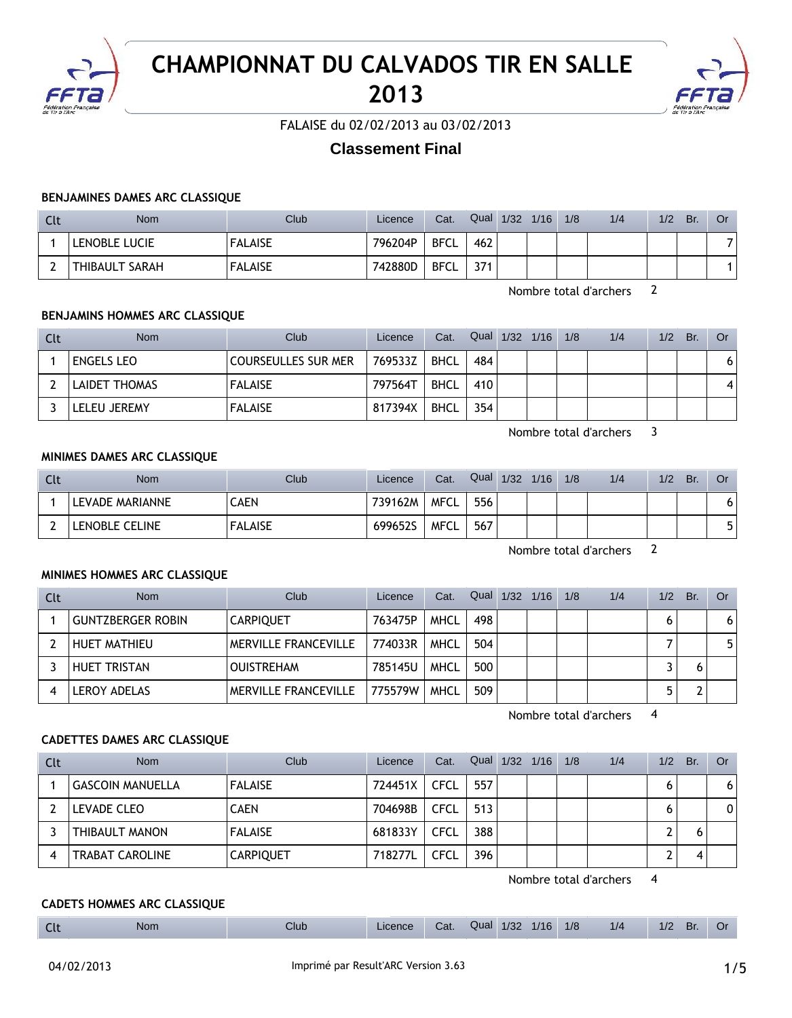

# **CHAMPIONNAT DU CALVADOS TIR EN SALLE 2013**



FALAISE du 02/02/2013 au 03/02/2013

## **Classement Final**

#### **BENJAMINES DAMES ARC CLASSIQUE**

| Clt | <b>Nom</b>     | Club <sup>-</sup> | Licence | Cat.        | Qual | 1/32 | 1/16 | 1/8 | 1/4 | 1/2 | Br. | Or |
|-----|----------------|-------------------|---------|-------------|------|------|------|-----|-----|-----|-----|----|
|     | LENOBLE LUCIE  | <b>FALAISE</b>    | 796204P | <b>BFCL</b> | 462  |      |      |     |     |     |     |    |
|     | THIBAULT SARAH | <b>FALAISE</b>    | 742880D | BFCL        | 371  |      |      |     |     |     |     |    |

Nombre total d'archers 2

## **BENJAMINS HOMMES ARC CLASSIQUE**

| Clt | <b>Nom</b>           | Club                       | Licence | Cat.        | Qual 1/32 1/16 |  | 1/8 | 1/4 | 1/2 | Br. | 0r |
|-----|----------------------|----------------------------|---------|-------------|----------------|--|-----|-----|-----|-----|----|
|     | <b>ENGELS LEO</b>    | <b>COURSEULLES SUR MER</b> | 769533Z | BHCL        | 484            |  |     |     |     |     | 6  |
|     | <b>LAIDET THOMAS</b> | <b>FALAISE</b>             | 797564T | <b>BHCL</b> | 410            |  |     |     |     |     | 4  |
|     | <b>LELEU JEREMY</b>  | <b>FALAISE</b>             | 817394X | <b>BHCL</b> | 354            |  |     |     |     |     |    |

Nombre total d'archers 3

#### **MINIMES DAMES ARC CLASSIQUE**

| Clt | <b>Nom</b>      | Club           | Licence | Cat.        | Qual | 1/32 | 1/16 | 1/8 | 1/4 | 1/2 | Br. | <b>Or</b> |
|-----|-----------------|----------------|---------|-------------|------|------|------|-----|-----|-----|-----|-----------|
|     | LEVADE MARIANNE | CAEN           | 739162M | <b>MFCL</b> | 556  |      |      |     |     |     |     |           |
|     | LENOBLE CELINE  | <b>FALAISE</b> | 699652S | <b>MFCL</b> | 567  |      |      |     |     |     |     |           |

Nombre total d'archers 2

#### **MINIMES HOMMES ARC CLASSIQUE**

| Clt | <b>Nom</b>               | Club                        | Licence | Cat.        | Qual 1/32 | 1/16 | 1/8 | 1/4 | 1/2 | Br. | <b>Or</b> |
|-----|--------------------------|-----------------------------|---------|-------------|-----------|------|-----|-----|-----|-----|-----------|
|     | <b>GUNTZBERGER ROBIN</b> | <b>CARPIQUET</b>            | 763475P | <b>MHCL</b> | 498       |      |     |     |     |     | 6.        |
|     | <b>HUET MATHIEU</b>      | <b>MERVILLE FRANCEVILLE</b> | 774033R | <b>MHCL</b> | 504       |      |     |     |     |     |           |
|     | <b>HUET TRISTAN</b>      | <b>OUISTREHAM</b>           | 785145U | <b>MHCL</b> | 500       |      |     |     |     |     |           |
|     | <b>LEROY ADELAS</b>      | <b>MERVILLE FRANCEVILLE</b> | 775579W | <b>MHCL</b> | 509       |      |     |     |     |     |           |

Nombre total d'archers 4

#### **CADETTES DAMES ARC CLASSIQUE**

| Clt | <b>Nom</b>              | Club             | Licence | Cat.        | Qual | $1/32$ $1/16$ | 1/8 | 1/4 | 1/2 | Br. | Or |
|-----|-------------------------|------------------|---------|-------------|------|---------------|-----|-----|-----|-----|----|
|     | <b>GASCOIN MANUELLA</b> | <b>FALAISE</b>   | 724451X | <b>CFCL</b> | 557  |               |     |     | O   |     | 6  |
|     | LEVADE CLEO             | <b>CAEN</b>      | 704698B | <b>CFCL</b> | 513  |               |     |     | o   |     | 0  |
|     | THIBAULT MANON          | <b>FALAISE</b>   | 681833Y | <b>CFCL</b> | 388  |               |     |     | ∽   |     |    |
| 4   | <b>TRABAT CAROLINE</b>  | <b>CARPIQUET</b> | 718277L | CFCL        | 396  |               |     |     | ∽   |     |    |

Nombre total d'archers 4

#### **CADETS HOMMES ARC CLASSIQUE**

| __<br>___ | $\sim$<br>$\sim$ | <b>Nom</b> | Club | enc. | Ual. | Jua' | 10 <sup>7</sup><br>1.32 | 1/16 | 1/8 | 1/4 |  | вг<br>-- |  |
|-----------|------------------|------------|------|------|------|------|-------------------------|------|-----|-----|--|----------|--|
|-----------|------------------|------------|------|------|------|------|-------------------------|------|-----|-----|--|----------|--|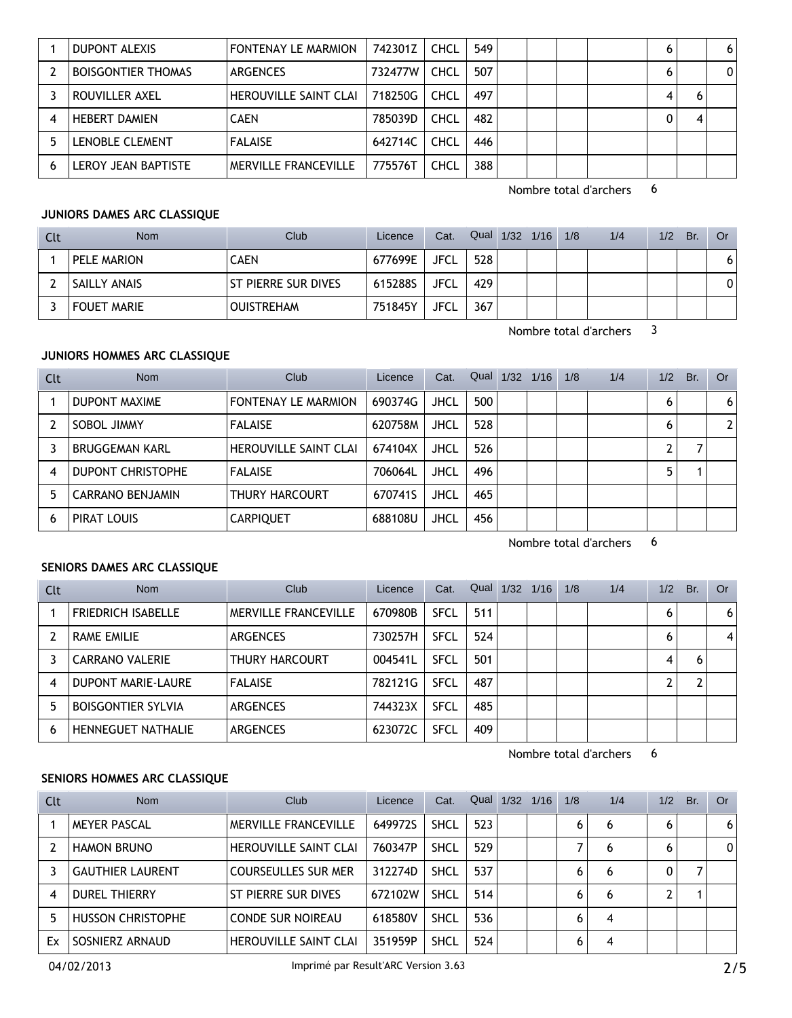|   | DUPONT ALEXIS             | <b>FONTENAY LE MARMION</b>   | 742301Z | <b>CHCL</b> | 549 |  |  | 6 | 6 |
|---|---------------------------|------------------------------|---------|-------------|-----|--|--|---|---|
|   | <b>BOISGONTIER THOMAS</b> | ARGENCES                     | 732477W | CHCL        | 507 |  |  | 6 | 0 |
|   | ROUVILLER AXEL            | <b>HEROUVILLE SAINT CLAI</b> | 718250G | <b>CHCL</b> | 497 |  |  | 4 |   |
|   | <b>HEBERT DAMIEN</b>      | <b>CAEN</b>                  | 785039D | <b>CHCL</b> | 482 |  |  | 0 |   |
|   | LENOBLE CLEMENT           | <b>FALAISE</b>               | 642714C | <b>CHCL</b> | 446 |  |  |   |   |
| 6 | LEROY JEAN BAPTISTE       | <b>MERVILLE FRANCEVILLE</b>  | 775576T | CHCL        | 388 |  |  |   |   |

#### **JUNIORS DAMES ARC CLASSIQUE**

| Clt | <b>Nom</b>         | Club                  | Licence | Cat.        | Qual 1/32 1/16 |  | 1/8 | 1/4 | 1/2 | Br. | Or |
|-----|--------------------|-----------------------|---------|-------------|----------------|--|-----|-----|-----|-----|----|
|     | PELE MARION        | CAEN                  | 677699E | JFCL        | 528            |  |     |     |     |     |    |
|     | SAILLY ANAIS       | l St pierre sur dives | 615288S | <b>JFCL</b> | 429            |  |     |     |     |     |    |
|     | <b>FOUET MARIE</b> | <b>OUISTREHAM</b>     | 751845Y | <b>JFCL</b> | 367            |  |     |     |     |     |    |

Nombre total d'archers 3

## **JUNIORS HOMMES ARC CLASSIQUE**

| Clt | <b>Nom</b>               | Club                         | Licence | Cat.        |     | Qual $1/32$ | 1/16 | 1/8 | 1/4 | 1/2 | Br. | Or. |
|-----|--------------------------|------------------------------|---------|-------------|-----|-------------|------|-----|-----|-----|-----|-----|
|     | DUPONT MAXIME            | <b>FONTENAY LE MARMION</b>   | 690374G | <b>JHCL</b> | 500 |             |      |     |     | 6   |     | 6   |
|     | SOBOL JIMMY              | <b>FALAISE</b>               | 620758M | <b>JHCL</b> | 528 |             |      |     |     | h   |     |     |
|     | <b>BRUGGEMAN KARL</b>    | <b>HEROUVILLE SAINT CLAI</b> | 674104X | JHCL        | 526 |             |      |     |     |     |     |     |
| 4   | <b>DUPONT CHRISTOPHE</b> | <b>FALAISE</b>               | 706064L | JHCL        | 496 |             |      |     |     | 5   |     |     |
| 5   | <b>CARRANO BENJAMIN</b>  | <b>THURY HARCOURT</b>        | 670741S | <b>JHCL</b> | 465 |             |      |     |     |     |     |     |
| h   | PIRAT LOUIS              | CARPIQUET                    | 688108U | JHCL        | 456 |             |      |     |     |     |     |     |

Nombre total d'archers 6

#### **SENIORS DAMES ARC CLASSIQUE**

| Clt | <b>Nom</b>                | Club                        | Licence | Cat.        | Qual | 1/32 | 1/16 | 1/8 | 1/4 | 1/2 | Br. | Or |
|-----|---------------------------|-----------------------------|---------|-------------|------|------|------|-----|-----|-----|-----|----|
|     | <b>FRIEDRICH ISABELLE</b> | <b>MERVILLE FRANCEVILLE</b> | 670980B | <b>SFCL</b> | 511  |      |      |     |     | 6   |     | 6  |
|     | RAME EMILIE               | <b>ARGENCES</b>             | 730257H | <b>SFCL</b> | 524  |      |      |     |     | 6   |     | 4  |
|     | <b>CARRANO VALERIE</b>    | THURY HARCOURT              | 004541L | <b>SFCL</b> | 501  |      |      |     |     | 4   | 6   |    |
| 4   | DUPONT MARIE-LAURE        | <b>FALAISE</b>              | 782121G | <b>SFCL</b> | 487  |      |      |     |     |     |     |    |
| 5   | <b>BOISGONTIER SYLVIA</b> | <b>ARGENCES</b>             | 744323X | <b>SFCL</b> | 485  |      |      |     |     |     |     |    |
| 6   | HENNEGUET NATHALIE        | <b>ARGENCES</b>             | 623072C | <b>SFCL</b> | 409  |      |      |     |     |     |     |    |

Nombre total d'archers 6

## **SENIORS HOMMES ARC CLASSIQUE**

| Clt | <b>Nom</b>               | Club                         | Licence | Cat.        | Qual | 1/32 | 1/16 | 1/8 | 1/4 | 1/2 | Br. | <b>Or</b> |
|-----|--------------------------|------------------------------|---------|-------------|------|------|------|-----|-----|-----|-----|-----------|
|     | <b>MEYER PASCAL</b>      | <b>MERVILLE FRANCEVILLE</b>  | 649972S | <b>SHCL</b> | 523  |      |      | 6   | 6   | 6   |     | 6         |
|     | <b>HAMON BRUNO</b>       | <b>HEROUVILLE SAINT CLAI</b> | 760347P | <b>SHCL</b> | 529  |      |      |     | 6   | 6   |     | 0         |
|     | <b>GAUTHIER LAURENT</b>  | <b>COURSEULLES SUR MER</b>   | 312274D | <b>SHCL</b> | 537  |      |      | 6   | 6   | 0   |     |           |
| 4   | <b>DUREL THIERRY</b>     | ST PIERRE SUR DIVES          | 672102W | <b>SHCL</b> | 514  |      |      | 6   | 6   |     |     |           |
| 5   | <b>HUSSON CHRISTOPHE</b> | <b>CONDE SUR NOIREAU</b>     | 618580V | <b>SHCL</b> | 536  |      |      | 6   | 4   |     |     |           |
| Ex  | SOSNIERZ ARNAUD          | <b>HEROUVILLE SAINT CLAI</b> | 351959P | <b>SHCL</b> | 524  |      |      | 6   | 4   |     |     |           |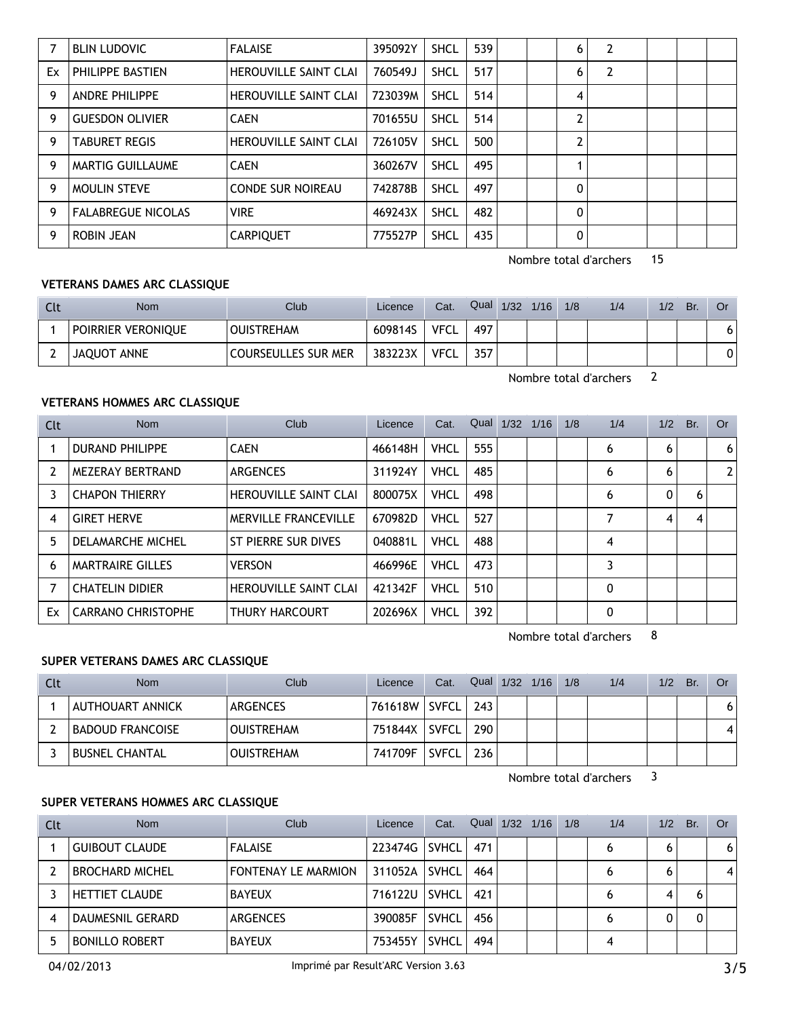|    | <b>BLIN LUDOVIC</b>       | <b>FALAISE</b>               | 395092Y | <b>SHCL</b> | 539 |  | 6              | 2 |  |  |
|----|---------------------------|------------------------------|---------|-------------|-----|--|----------------|---|--|--|
| Ex | PHILIPPE BASTIEN          | <b>HEROUVILLE SAINT CLAI</b> | 760549J | <b>SHCL</b> | 517 |  | 6              | 2 |  |  |
| 9  | <b>ANDRE PHILIPPE</b>     | <b>HEROUVILLE SAINT CLAI</b> | 723039M | <b>SHCL</b> | 514 |  | 4              |   |  |  |
| 9  | <b>GUESDON OLIVIER</b>    | <b>CAEN</b>                  | 701655U | <b>SHCL</b> | 514 |  | າ              |   |  |  |
| 9  | <b>TABURET REGIS</b>      | <b>HEROUVILLE SAINT CLAI</b> | 726105V | <b>SHCL</b> | 500 |  | $\overline{2}$ |   |  |  |
| 9  | MARTIG GUILLAUME          | <b>CAEN</b>                  | 360267V | <b>SHCL</b> | 495 |  |                |   |  |  |
| 9  | <b>MOULIN STEVE</b>       | <b>CONDE SUR NOIREAU</b>     | 742878B | <b>SHCL</b> | 497 |  | 0              |   |  |  |
| 9  | <b>FALABREGUE NICOLAS</b> | <b>VIRE</b>                  | 469243X | <b>SHCL</b> | 482 |  | 0              |   |  |  |
| 9  | ROBIN JEAN                | <b>CARPIQUET</b>             | 775527P | <b>SHCL</b> | 435 |  | 0              |   |  |  |

#### **VETERANS DAMES ARC CLASSIQUE**

| Clt | <b>Nom</b>         | <b>Club</b>         | Licence | Cat.        | Qual | 1/32 | 1/16 | 1/8 | 1/4 | 1/2 | Br. | Or |
|-----|--------------------|---------------------|---------|-------------|------|------|------|-----|-----|-----|-----|----|
|     | POIRRIER VERONIQUE | <b>OUISTREHAM</b>   | 609814S | <b>VFCL</b> | 497  |      |      |     |     |     |     | 6  |
|     | JAQUOT ANNE        | COURSEULLES SUR MER | 383223X | <b>VFCL</b> | 357  |      |      |     |     |     |     | 0  |

Nombre total d'archers 2

## **VETERANS HOMMES ARC CLASSIQUE**

| Clt | <b>Nom</b>                | Club                         | Licence | Cat.        | Qual | 1/32 | 1/16 | 1/8 | 1/4 | 1/2 | Br. | <b>Or</b> |
|-----|---------------------------|------------------------------|---------|-------------|------|------|------|-----|-----|-----|-----|-----------|
|     | <b>DURAND PHILIPPE</b>    | <b>CAEN</b>                  | 466148H | <b>VHCL</b> | 555  |      |      |     | 6   | 6   |     | 6         |
| 2   | MEZERAY BERTRAND          | <b>ARGENCES</b>              | 311924Y | <b>VHCL</b> | 485  |      |      |     | 6   | 6   |     |           |
| 3   | <b>CHAPON THIERRY</b>     | <b>HEROUVILLE SAINT CLAI</b> | 800075X | <b>VHCL</b> | 498  |      |      |     | 6   | 0   | 6   |           |
| 4   | <b>GIRET HERVE</b>        | MERVILLE FRANCEVILLE         | 670982D | <b>VHCL</b> | 527  |      |      |     | 7   | 4   | 4   |           |
| 5.  | DELAMARCHE MICHEL         | ST PIERRE SUR DIVES          | 040881L | <b>VHCL</b> | 488  |      |      |     | 4   |     |     |           |
| 6   | <b>MARTRAIRE GILLES</b>   | <b>VERSON</b>                | 466996E | <b>VHCL</b> | 473  |      |      |     | 3   |     |     |           |
|     | <b>CHATELIN DIDIER</b>    | <b>HEROUVILLE SAINT CLAI</b> | 421342F | <b>VHCL</b> | 510  |      |      |     | 0   |     |     |           |
| Ex  | <b>CARRANO CHRISTOPHE</b> | THURY HARCOURT               | 202696X | VHCL        | 392  |      |      |     | 0   |     |     |           |

Nombre total d'archers 8

### **SUPER VETERANS DAMES ARC CLASSIQUE**

| Clt | <b>Nom</b>              | <b>Club</b>       | Licence | Cat.         | Qual | $1/32$ $1/16$ | 1/8 | 1/4 | 1/2 | Br. | Or           |
|-----|-------------------------|-------------------|---------|--------------|------|---------------|-----|-----|-----|-----|--------------|
|     | AUTHOUART ANNICK        | ARGENCES          | 761618W | SVFCL I      | 243  |               |     |     |     |     | 6            |
|     | <b>BADOUD FRANCOISE</b> | <b>OUISTREHAM</b> | 751844X | <b>SVFCL</b> | 290  |               |     |     |     |     | $\mathbf{A}$ |
|     | <b>BUSNEL CHANTAL</b>   | <b>OUISTREHAM</b> | 741709F | <b>SVFCL</b> | 236  |               |     |     |     |     |              |

Nombre total d'archers 3

## **SUPER VETERANS HOMMES ARC CLASSIQUE**

| Clt | <b>Nom</b>             | Club                       | Licence | Cat.         | Qual | 1/32 | 1/16 | 1/8 | 1/4 | 1/2 | Br. | Or |
|-----|------------------------|----------------------------|---------|--------------|------|------|------|-----|-----|-----|-----|----|
|     | <b>GUIBOUT CLAUDE</b>  | <b>FALAISE</b>             | 223474G | SVHCL        | 471  |      |      |     |     | 6   |     | 6  |
|     | <b>BROCHARD MICHEL</b> | <b>FONTENAY LE MARMION</b> | 311052A | <b>SVHCL</b> | 464  |      |      |     | 6   | 6   |     |    |
|     | <b>HETTIET CLAUDE</b>  | <b>BAYEUX</b>              | 716122U | <b>SVHCL</b> | 421  |      |      |     |     | 4   |     |    |
|     | DAUMESNIL GERARD       | <b>ARGENCES</b>            | 390085F | <b>SVHCL</b> | 456  |      |      |     |     |     |     |    |
|     | <b>BONILLO ROBERT</b>  | <b>BAYEUX</b>              | 753455Y | <b>SVHCL</b> | 494  |      |      |     |     |     |     |    |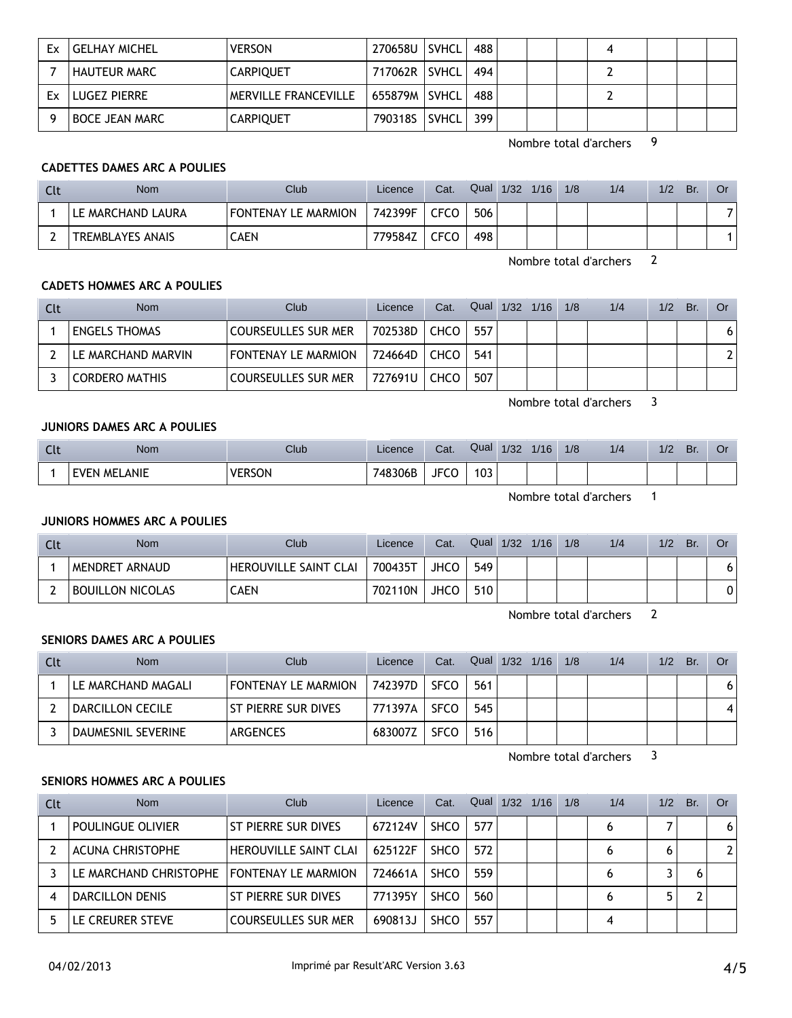| Ex | <b>GELHAY MICHEL</b>  | <b>VERSON</b>        | 270658U SVHCL   |              | 488 |  |  |  |  |
|----|-----------------------|----------------------|-----------------|--------------|-----|--|--|--|--|
|    | <b>HAUTEUR MARC</b>   | <b>CARPIQUET</b>     | 717062R   SVHCL |              | 494 |  |  |  |  |
| Fx | LUGEZ PIERRE          | MERVILLE FRANCEVILLE | 655879M   SVHCL |              | 488 |  |  |  |  |
|    | <b>BOCE JEAN MARC</b> | <b>CARPIQUET</b>     | 790318S         | <b>SVHCL</b> | 399 |  |  |  |  |

## **CADETTES DAMES ARC A POULIES**

| Clt | Nom                     | Club <sup>1</sup>   | Licence | Cat.        | Qual | 1/32 | 1/16 | 1/8 | 1/4 | 1/2 | Br. | Or |
|-----|-------------------------|---------------------|---------|-------------|------|------|------|-----|-----|-----|-----|----|
|     | LE MARCHAND LAURA       | FONTENAY LE MARMION | 742399F | <b>CFCO</b> | 506  |      |      |     |     |     |     |    |
|     | <b>TREMBLAYES ANAIS</b> | CAEN                | 779584Z | CFCO        | 498  |      |      |     |     |     |     |    |

Nombre total d'archers 2

### **CADETS HOMMES ARC A POULIES**

| Clt | <b>Nom</b>            | Club                       | Licence   | Cat. | Qual 1/32 1/16 |  | 1/8 | 1/4 | 1/2 | Br. | Or. |
|-----|-----------------------|----------------------------|-----------|------|----------------|--|-----|-----|-----|-----|-----|
|     | <b>ENGELS THOMAS</b>  | <b>COURSEULLES SUR MER</b> | 702538D   | CHCO | 557            |  |     |     |     |     | 6   |
|     | LE MARCHAND MARVIN    | FONTENAY LE MARMION        | 724664D   | CHCO | 541            |  |     |     |     |     |     |
|     | <b>CORDERO MATHIS</b> | COURSEULLES SUR MER        | 727691U L | CHCO | 507            |  |     |     |     |     |     |

Nombre total d'archers 3

## **JUNIORS DAMES ARC A POULIES**

| $\sim$<br><b>ULL</b> | Nom <sup>®</sup>    | Club          | Licence | Cat.             | Qual | 1/32 | 1/16 | 1/8 | 1/4 | 1/2 | Br. | OT |
|----------------------|---------------------|---------------|---------|------------------|------|------|------|-----|-----|-----|-----|----|
|                      | <b>EVEN MELANIE</b> | <b>VERSON</b> | 748306B | $- - - -$<br>JFC | 103  |      |      |     |     |     |     |    |

Nombre total d'archers 1

### **JUNIORS HOMMES ARC A POULIES**

| Clt | <b>Nom</b>              | Club                  | Licence | Cat. | Qual | 1/32 | 1/16 | 1/8 | 1/4 | 1/2 | Br. | Or |
|-----|-------------------------|-----------------------|---------|------|------|------|------|-----|-----|-----|-----|----|
|     | MENDRET ARNAUD          | HEROUVILLE SAINT CLAI | 700435T | JHCO | 549  |      |      |     |     |     |     |    |
|     | <b>BOUILLON NICOLAS</b> | <b>CAEN</b>           | 702110N | JHCO | 510  |      |      |     |     |     |     |    |

Nombre total d'archers 2

## **SENIORS DAMES ARC A POULIES**

| Clt | <b>Nom</b>         | Club <sup>1</sup>   | Licence | Cat.        | Qual 1/32 1/16 |  | 1/8 | 1/4 | 1/2 | Br. | Or |
|-----|--------------------|---------------------|---------|-------------|----------------|--|-----|-----|-----|-----|----|
|     | LE MARCHAND MAGALI | FONTENAY LE MARMION | 742397D | <b>SFCO</b> | 561            |  |     |     |     |     |    |
|     | DARCILLON CECILE   | ST PIERRE SUR DIVES | 771397A | <b>SFCO</b> | 545            |  |     |     |     |     |    |
|     | DAUMESNIL SEVERINE | ARGENCES            | 683007Z | <b>SFCO</b> | 516            |  |     |     |     |     |    |

Nombre total d'archers 3

## **SENIORS HOMMES ARC A POULIES**

| Clt | <b>Nom</b>              | Club                         | Licence | Cat.        | Qual | 1/32 | 1/16 | 1/8 | 1/4 | 1/2 | Br. | Or. |
|-----|-------------------------|------------------------------|---------|-------------|------|------|------|-----|-----|-----|-----|-----|
|     | POULINGUE OLIVIER       | ST PIERRE SUR DIVES          | 672124V | <b>SHCO</b> | 577  |      |      |     | 6   |     |     | 6   |
|     | <b>ACUNA CHRISTOPHE</b> | <b>HEROUVILLE SAINT CLAI</b> | 625122F | <b>SHCO</b> | 572  |      |      |     |     |     |     |     |
|     | LE MARCHAND CHRISTOPHE  | <b>FONTENAY LE MARMION</b>   | 724661A | <b>SHCO</b> | 559  |      |      |     |     |     |     |     |
|     | DARCILLON DENIS         | ST PIERRE SUR DIVES          | 771395Y | <b>SHCO</b> | 560  |      |      |     | 6   |     |     |     |
|     | LE CREURER STEVE-       | COURSEULLES SUR MER          | 690813J | <b>SHCO</b> | 557  |      |      |     |     |     |     |     |